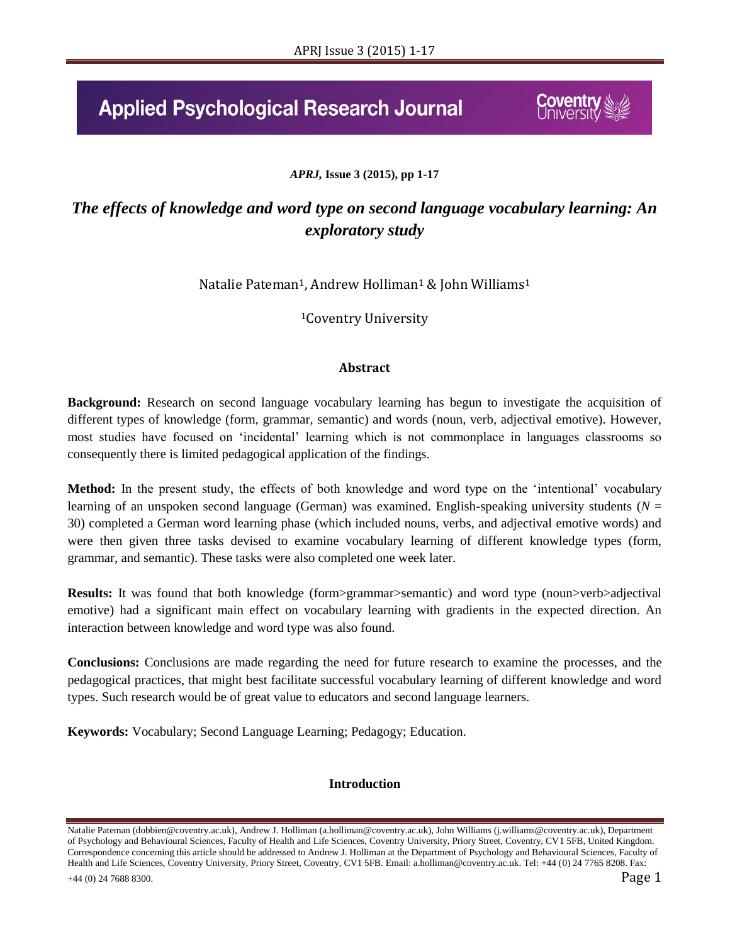# **Applied Psychological Research Journal**

# *APRJ,* **Issue 3 (2015), pp 1-17**

# *The effects of knowledge and word type on second language vocabulary learning: An exploratory study*

Natalie Pateman<sup>1</sup>, Andrew Holliman<sup>1</sup> & John Williams<sup>1</sup>

<sup>1</sup>Coventry University

# **Abstract**

**Background:** Research on second language vocabulary learning has begun to investigate the acquisition of different types of knowledge (form, grammar, semantic) and words (noun, verb, adjectival emotive). However, most studies have focused on 'incidental' learning which is not commonplace in languages classrooms so consequently there is limited pedagogical application of the findings.

**Method:** In the present study, the effects of both knowledge and word type on the 'intentional' vocabulary learning of an unspoken second language (German) was examined. English-speaking university students (*N* = 30) completed a German word learning phase (which included nouns, verbs, and adjectival emotive words) and were then given three tasks devised to examine vocabulary learning of different knowledge types (form, grammar, and semantic). These tasks were also completed one week later.

**Results:** It was found that both knowledge (form>grammar>semantic) and word type (noun>verb>adjectival emotive) had a significant main effect on vocabulary learning with gradients in the expected direction. An interaction between knowledge and word type was also found.

**Conclusions:** Conclusions are made regarding the need for future research to examine the processes, and the pedagogical practices, that might best facilitate successful vocabulary learning of different knowledge and word types. Such research would be of great value to educators and second language learners.

**Keywords:** Vocabulary; Second Language Learning; Pedagogy; Education.

# **Introduction**

Natalie Pateman (dobbien@coventry.ac.uk), Andrew J. Holliman (a.holliman@coventry.ac.uk), John Williams (j.williams@coventry.ac.uk), Department of Psychology and Behavioural Sciences, Faculty of Health and Life Sciences, Coventry University, Priory Street, Coventry, CV1 5FB, United Kingdom. Correspondence concerning this article should be addressed to Andrew J. Holliman at the Department of Psychology and Behavioural Sciences, Faculty of Health and Life Sciences, Coventry University, Priory Street, Coventry, CV1 5FB. Email: a.holliman@coventry.ac.uk. Tel: +44 (0) 24 7765 8208. Fax:  $+44$  (0) 24 7688 8300. **Page 1**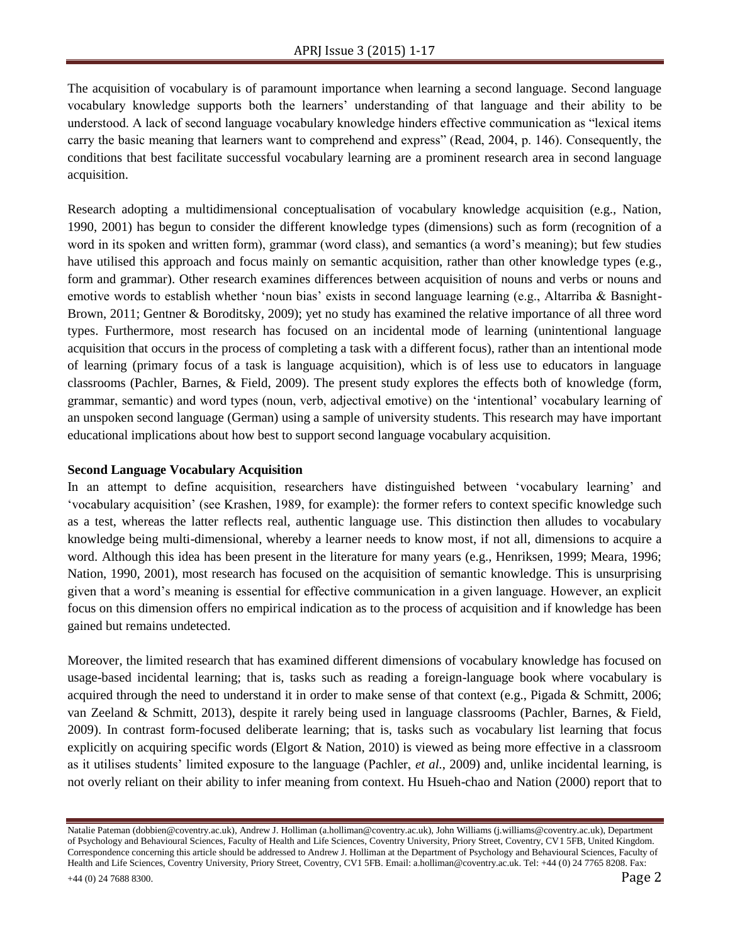The acquisition of vocabulary is of paramount importance when learning a second language. Second language vocabulary knowledge supports both the learners' understanding of that language and their ability to be understood. A lack of second language vocabulary knowledge hinders effective communication as "lexical items carry the basic meaning that learners want to comprehend and express" (Read, 2004, p. 146). Consequently, the conditions that best facilitate successful vocabulary learning are a prominent research area in second language acquisition.

Research adopting a multidimensional conceptualisation of vocabulary knowledge acquisition (e.g., Nation, 1990, 2001) has begun to consider the different knowledge types (dimensions) such as form (recognition of a word in its spoken and written form), grammar (word class), and semantics (a word's meaning); but few studies have utilised this approach and focus mainly on semantic acquisition, rather than other knowledge types (e.g., form and grammar). Other research examines differences between acquisition of nouns and verbs or nouns and emotive words to establish whether 'noun bias' exists in second language learning (e.g., Altarriba & Basnight-Brown, 2011; Gentner & Boroditsky, 2009); yet no study has examined the relative importance of all three word types. Furthermore, most research has focused on an incidental mode of learning (unintentional language acquisition that occurs in the process of completing a task with a different focus), rather than an intentional mode of learning (primary focus of a task is language acquisition), which is of less use to educators in language classrooms (Pachler, Barnes, & Field, 2009). The present study explores the effects both of knowledge (form, grammar, semantic) and word types (noun, verb, adjectival emotive) on the 'intentional' vocabulary learning of an unspoken second language (German) using a sample of university students. This research may have important educational implications about how best to support second language vocabulary acquisition.

# **Second Language Vocabulary Acquisition**

In an attempt to define acquisition, researchers have distinguished between 'vocabulary learning' and 'vocabulary acquisition' (see Krashen, 1989, for example): the former refers to context specific knowledge such as a test, whereas the latter reflects real, authentic language use. This distinction then alludes to vocabulary knowledge being multi-dimensional, whereby a learner needs to know most, if not all, dimensions to acquire a word. Although this idea has been present in the literature for many years (e.g., Henriksen, 1999; Meara, 1996; Nation, 1990, 2001), most research has focused on the acquisition of semantic knowledge. This is unsurprising given that a word's meaning is essential for effective communication in a given language. However, an explicit focus on this dimension offers no empirical indication as to the process of acquisition and if knowledge has been gained but remains undetected.

Moreover, the limited research that has examined different dimensions of vocabulary knowledge has focused on usage-based incidental learning; that is, tasks such as reading a foreign-language book where vocabulary is acquired through the need to understand it in order to make sense of that context (e.g., Pigada & Schmitt, 2006; van Zeeland & Schmitt, 2013), despite it rarely being used in language classrooms (Pachler, Barnes, & Field, 2009). In contrast form-focused deliberate learning; that is, tasks such as vocabulary list learning that focus explicitly on acquiring specific words (Elgort & Nation, 2010) is viewed as being more effective in a classroom as it utilises students' limited exposure to the language (Pachler, *et al.*, 2009) and, unlike incidental learning, is not overly reliant on their ability to infer meaning from context. Hu Hsueh-chao and Nation (2000) report that to

Natalie Pateman (dobbien@coventry.ac.uk), Andrew J. Holliman (a.holliman@coventry.ac.uk), John Williams (j.williams@coventry.ac.uk), Department of Psychology and Behavioural Sciences, Faculty of Health and Life Sciences, Coventry University, Priory Street, Coventry, CV1 5FB, United Kingdom. Correspondence concerning this article should be addressed to Andrew J. Holliman at the Department of Psychology and Behavioural Sciences, Faculty of Health and Life Sciences, Coventry University, Priory Street, Coventry, CV1 5FB. Email: a.holliman@coventry.ac.uk. Tel: +44 (0) 24 7765 8208. Fax: +44 (0) 24 7688 8300. Page 2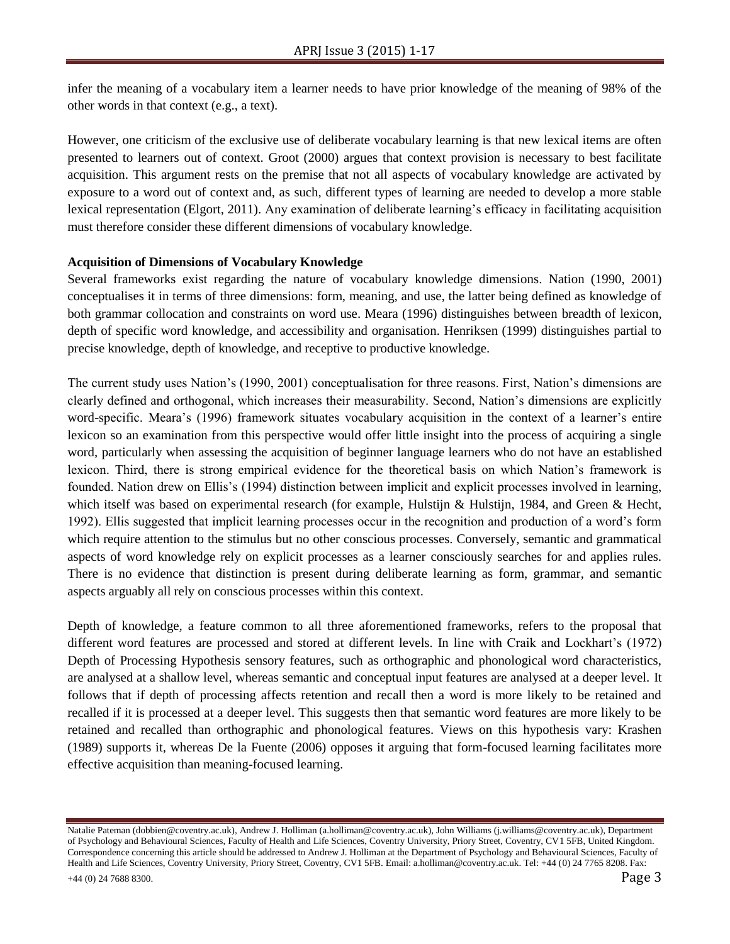infer the meaning of a vocabulary item a learner needs to have prior knowledge of the meaning of 98% of the other words in that context (e.g., a text).

However, one criticism of the exclusive use of deliberate vocabulary learning is that new lexical items are often presented to learners out of context. Groot (2000) argues that context provision is necessary to best facilitate acquisition. This argument rests on the premise that not all aspects of vocabulary knowledge are activated by exposure to a word out of context and, as such, different types of learning are needed to develop a more stable lexical representation (Elgort, 2011). Any examination of deliberate learning's efficacy in facilitating acquisition must therefore consider these different dimensions of vocabulary knowledge.

# **Acquisition of Dimensions of Vocabulary Knowledge**

Several frameworks exist regarding the nature of vocabulary knowledge dimensions. Nation (1990, 2001) conceptualises it in terms of three dimensions: form, meaning, and use, the latter being defined as knowledge of both grammar collocation and constraints on word use. Meara (1996) distinguishes between breadth of lexicon, depth of specific word knowledge, and accessibility and organisation. Henriksen (1999) distinguishes partial to precise knowledge, depth of knowledge, and receptive to productive knowledge.

The current study uses Nation's (1990, 2001) conceptualisation for three reasons. First, Nation's dimensions are clearly defined and orthogonal, which increases their measurability. Second, Nation's dimensions are explicitly word-specific. Meara's (1996) framework situates vocabulary acquisition in the context of a learner's entire lexicon so an examination from this perspective would offer little insight into the process of acquiring a single word, particularly when assessing the acquisition of beginner language learners who do not have an established lexicon. Third, there is strong empirical evidence for the theoretical basis on which Nation's framework is founded. Nation drew on Ellis's (1994) distinction between implicit and explicit processes involved in learning, which itself was based on experimental research (for example, Hulstijn & Hulstijn, 1984, and Green & Hecht, 1992). Ellis suggested that implicit learning processes occur in the recognition and production of a word's form which require attention to the stimulus but no other conscious processes. Conversely, semantic and grammatical aspects of word knowledge rely on explicit processes as a learner consciously searches for and applies rules. There is no evidence that distinction is present during deliberate learning as form, grammar, and semantic aspects arguably all rely on conscious processes within this context.

Depth of knowledge, a feature common to all three aforementioned frameworks, refers to the proposal that different word features are processed and stored at different levels. In line with Craik and Lockhart's (1972) Depth of Processing Hypothesis sensory features, such as orthographic and phonological word characteristics, are analysed at a shallow level, whereas semantic and conceptual input features are analysed at a deeper level. It follows that if depth of processing affects retention and recall then a word is more likely to be retained and recalled if it is processed at a deeper level. This suggests then that semantic word features are more likely to be retained and recalled than orthographic and phonological features. Views on this hypothesis vary: Krashen (1989) supports it, whereas De la Fuente (2006) opposes it arguing that form-focused learning facilitates more effective acquisition than meaning-focused learning.

Natalie Pateman (dobbien@coventry.ac.uk), Andrew J. Holliman (a.holliman@coventry.ac.uk), John Williams (j.williams@coventry.ac.uk), Department of Psychology and Behavioural Sciences, Faculty of Health and Life Sciences, Coventry University, Priory Street, Coventry, CV1 5FB, United Kingdom. Correspondence concerning this article should be addressed to Andrew J. Holliman at the Department of Psychology and Behavioural Sciences, Faculty of Health and Life Sciences, Coventry University, Priory Street, Coventry, CV1 5FB. Email: a.holliman@coventry.ac.uk. Tel: +44 (0) 24 7765 8208. Fax: +44 (0) 24 7688 8300. Page 3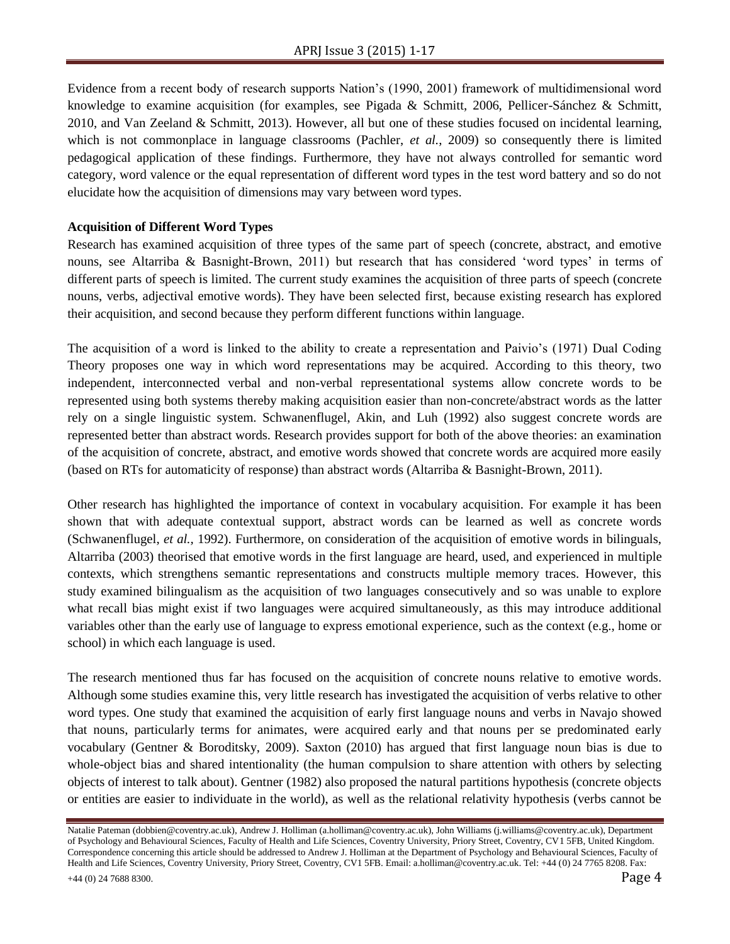Evidence from a recent body of research supports Nation's (1990, 2001) framework of multidimensional word knowledge to examine acquisition (for examples, see Pigada & Schmitt, 2006, Pellicer-Sánchez & Schmitt, 2010, and Van Zeeland & Schmitt, 2013). However, all but one of these studies focused on incidental learning, which is not commonplace in language classrooms (Pachler, *et al.*, 2009) so consequently there is limited pedagogical application of these findings. Furthermore, they have not always controlled for semantic word category, word valence or the equal representation of different word types in the test word battery and so do not elucidate how the acquisition of dimensions may vary between word types.

# **Acquisition of Different Word Types**

Research has examined acquisition of three types of the same part of speech (concrete, abstract, and emotive nouns, see Altarriba & Basnight-Brown, 2011) but research that has considered 'word types' in terms of different parts of speech is limited. The current study examines the acquisition of three parts of speech (concrete nouns, verbs, adjectival emotive words). They have been selected first, because existing research has explored their acquisition, and second because they perform different functions within language.

The acquisition of a word is linked to the ability to create a representation and Paivio's (1971) Dual Coding Theory proposes one way in which word representations may be acquired. According to this theory, two independent, interconnected verbal and non-verbal representational systems allow concrete words to be represented using both systems thereby making acquisition easier than non-concrete/abstract words as the latter rely on a single linguistic system. Schwanenflugel, Akin, and Luh (1992) also suggest concrete words are represented better than abstract words. Research provides support for both of the above theories: an examination of the acquisition of concrete, abstract, and emotive words showed that concrete words are acquired more easily (based on RTs for automaticity of response) than abstract words (Altarriba & Basnight-Brown, 2011).

Other research has highlighted the importance of context in vocabulary acquisition. For example it has been shown that with adequate contextual support, abstract words can be learned as well as concrete words (Schwanenflugel, *et al.,* 1992). Furthermore, on consideration of the acquisition of emotive words in bilinguals, Altarriba (2003) theorised that emotive words in the first language are heard, used, and experienced in multiple contexts, which strengthens semantic representations and constructs multiple memory traces. However, this study examined bilingualism as the acquisition of two languages consecutively and so was unable to explore what recall bias might exist if two languages were acquired simultaneously, as this may introduce additional variables other than the early use of language to express emotional experience, such as the context (e.g., home or school) in which each language is used.

The research mentioned thus far has focused on the acquisition of concrete nouns relative to emotive words. Although some studies examine this, very little research has investigated the acquisition of verbs relative to other word types. One study that examined the acquisition of early first language nouns and verbs in Navajo showed that nouns, particularly terms for animates, were acquired early and that nouns per se predominated early vocabulary (Gentner & Boroditsky, 2009). Saxton (2010) has argued that first language noun bias is due to whole-object bias and shared intentionality (the human compulsion to share attention with others by selecting objects of interest to talk about). Gentner (1982) also proposed the natural partitions hypothesis (concrete objects or entities are easier to individuate in the world), as well as the relational relativity hypothesis (verbs cannot be

Natalie Pateman (dobbien@coventry.ac.uk), Andrew J. Holliman (a.holliman@coventry.ac.uk), John Williams (j.williams@coventry.ac.uk), Department of Psychology and Behavioural Sciences, Faculty of Health and Life Sciences, Coventry University, Priory Street, Coventry, CV1 5FB, United Kingdom. Correspondence concerning this article should be addressed to Andrew J. Holliman at the Department of Psychology and Behavioural Sciences, Faculty of Health and Life Sciences, Coventry University, Priory Street, Coventry, CV1 5FB. Email: a.holliman@coventry.ac.uk. Tel: +44 (0) 24 7765 8208. Fax: +44 (0) 24 7688 8300. Page 4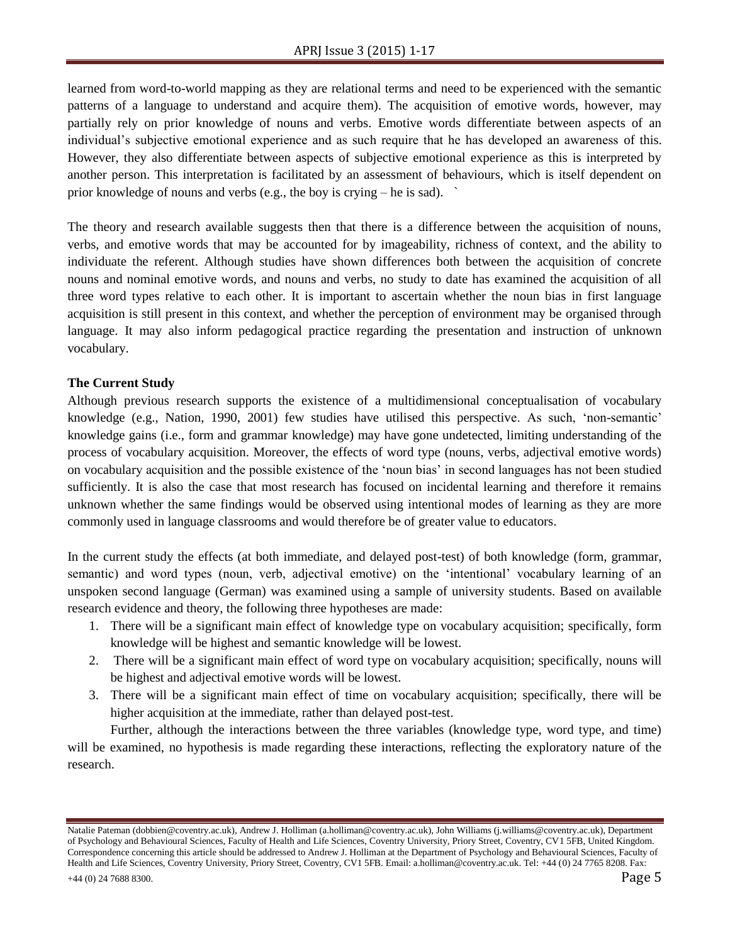learned from word-to-world mapping as they are relational terms and need to be experienced with the semantic patterns of a language to understand and acquire them). The acquisition of emotive words, however, may partially rely on prior knowledge of nouns and verbs. Emotive words differentiate between aspects of an individual's subjective emotional experience and as such require that he has developed an awareness of this. However, they also differentiate between aspects of subjective emotional experience as this is interpreted by another person. This interpretation is facilitated by an assessment of behaviours, which is itself dependent on prior knowledge of nouns and verbs (e.g., the boy is crying – he is sad). `

The theory and research available suggests then that there is a difference between the acquisition of nouns, verbs, and emotive words that may be accounted for by imageability, richness of context, and the ability to individuate the referent. Although studies have shown differences both between the acquisition of concrete nouns and nominal emotive words, and nouns and verbs, no study to date has examined the acquisition of all three word types relative to each other. It is important to ascertain whether the noun bias in first language acquisition is still present in this context, and whether the perception of environment may be organised through language. It may also inform pedagogical practice regarding the presentation and instruction of unknown vocabulary.

# **The Current Study**

Although previous research supports the existence of a multidimensional conceptualisation of vocabulary knowledge (e.g., Nation, 1990, 2001) few studies have utilised this perspective. As such, 'non-semantic' knowledge gains (i.e., form and grammar knowledge) may have gone undetected, limiting understanding of the process of vocabulary acquisition. Moreover, the effects of word type (nouns, verbs, adjectival emotive words) on vocabulary acquisition and the possible existence of the 'noun bias' in second languages has not been studied sufficiently. It is also the case that most research has focused on incidental learning and therefore it remains unknown whether the same findings would be observed using intentional modes of learning as they are more commonly used in language classrooms and would therefore be of greater value to educators.

In the current study the effects (at both immediate, and delayed post-test) of both knowledge (form, grammar, semantic) and word types (noun, verb, adjectival emotive) on the 'intentional' vocabulary learning of an unspoken second language (German) was examined using a sample of university students. Based on available research evidence and theory, the following three hypotheses are made:

- 1. There will be a significant main effect of knowledge type on vocabulary acquisition; specifically, form knowledge will be highest and semantic knowledge will be lowest.
- 2. There will be a significant main effect of word type on vocabulary acquisition; specifically, nouns will be highest and adjectival emotive words will be lowest.
- 3. There will be a significant main effect of time on vocabulary acquisition; specifically, there will be higher acquisition at the immediate, rather than delayed post-test.

Further, although the interactions between the three variables (knowledge type, word type, and time) will be examined, no hypothesis is made regarding these interactions, reflecting the exploratory nature of the research.

Natalie Pateman (dobbien@coventry.ac.uk), Andrew J. Holliman (a.holliman@coventry.ac.uk), John Williams (j.williams@coventry.ac.uk), Department of Psychology and Behavioural Sciences, Faculty of Health and Life Sciences, Coventry University, Priory Street, Coventry, CV1 5FB, United Kingdom. Correspondence concerning this article should be addressed to Andrew J. Holliman at the Department of Psychology and Behavioural Sciences, Faculty of Health and Life Sciences, Coventry University, Priory Street, Coventry, CV1 5FB. Email: a.holliman@coventry.ac.uk. Tel: +44 (0) 24 7765 8208. Fax:  $+44$  (0) 24 7688 8300. Page 5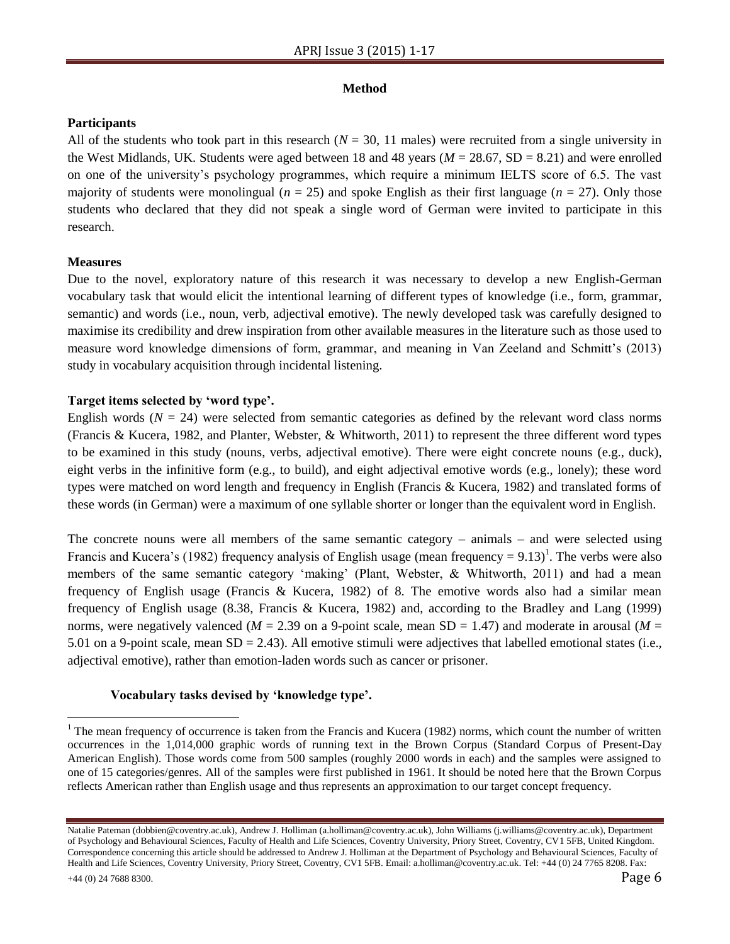# **Method**

# **Participants**

All of the students who took part in this research  $(N = 30, 11$  males) were recruited from a single university in the West Midlands, UK. Students were aged between 18 and 48 years (*M* = 28.67, SD = 8.21) and were enrolled on one of the university's psychology programmes, which require a minimum IELTS score of 6.5. The vast majority of students were monolingual  $(n = 25)$  and spoke English as their first language  $(n = 27)$ . Only those students who declared that they did not speak a single word of German were invited to participate in this research.

# **Measures**

Due to the novel, exploratory nature of this research it was necessary to develop a new English-German vocabulary task that would elicit the intentional learning of different types of knowledge (i.e., form, grammar, semantic) and words (i.e., noun, verb, adjectival emotive). The newly developed task was carefully designed to maximise its credibility and drew inspiration from other available measures in the literature such as those used to measure word knowledge dimensions of form, grammar, and meaning in Van Zeeland and Schmitt's (2013) study in vocabulary acquisition through incidental listening.

# **Target items selected by 'word type'.**

English words  $(N = 24)$  were selected from semantic categories as defined by the relevant word class norms (Francis & Kucera, 1982, and Planter, Webster, & Whitworth, 2011) to represent the three different word types to be examined in this study (nouns, verbs, adjectival emotive). There were eight concrete nouns (e.g., duck), eight verbs in the infinitive form (e.g., to build), and eight adjectival emotive words (e.g., lonely); these word types were matched on word length and frequency in English (Francis & Kucera, 1982) and translated forms of these words (in German) were a maximum of one syllable shorter or longer than the equivalent word in English.

The concrete nouns were all members of the same semantic category – animals – and were selected using Francis and Kucera's (1982) frequency analysis of English usage (mean frequency =  $9.13$ )<sup>1</sup>. The verbs were also members of the same semantic category 'making' (Plant, Webster, & Whitworth, 2011) and had a mean frequency of English usage (Francis & Kucera, 1982) of 8. The emotive words also had a similar mean frequency of English usage (8.38, Francis & Kucera, 1982) and, according to the Bradley and Lang (1999) norms, were negatively valenced ( $M = 2.39$  on a 9-point scale, mean SD = 1.47) and moderate in arousal ( $M =$ 5.01 on a 9-point scale, mean  $SD = 2.43$ ). All emotive stimuli were adjectives that labelled emotional states (i.e., adjectival emotive), rather than emotion-laden words such as cancer or prisoner.

# **Vocabulary tasks devised by 'knowledge type'.**

 $\overline{a}$ 

<sup>&</sup>lt;sup>1</sup> The mean frequency of occurrence is taken from the Francis and Kucera (1982) norms, which count the number of written occurrences in the 1,014,000 graphic words of running text in the Brown Corpus (Standard Corpus of Present-Day American English). Those words come from 500 samples (roughly 2000 words in each) and the samples were assigned to one of 15 categories/genres. All of the samples were first published in 1961. It should be noted here that the Brown Corpus reflects American rather than English usage and thus represents an approximation to our target concept frequency.

Natalie Pateman (dobbien@coventry.ac.uk), Andrew J. Holliman (a.holliman@coventry.ac.uk), John Williams (j.williams@coventry.ac.uk), Department of Psychology and Behavioural Sciences, Faculty of Health and Life Sciences, Coventry University, Priory Street, Coventry, CV1 5FB, United Kingdom. Correspondence concerning this article should be addressed to Andrew J. Holliman at the Department of Psychology and Behavioural Sciences, Faculty of Health and Life Sciences, Coventry University, Priory Street, Coventry, CV1 5FB. Email: a.holliman@coventry.ac.uk. Tel: +44 (0) 24 7765 8208. Fax: +44 (0) 24 7688 8300. Page 6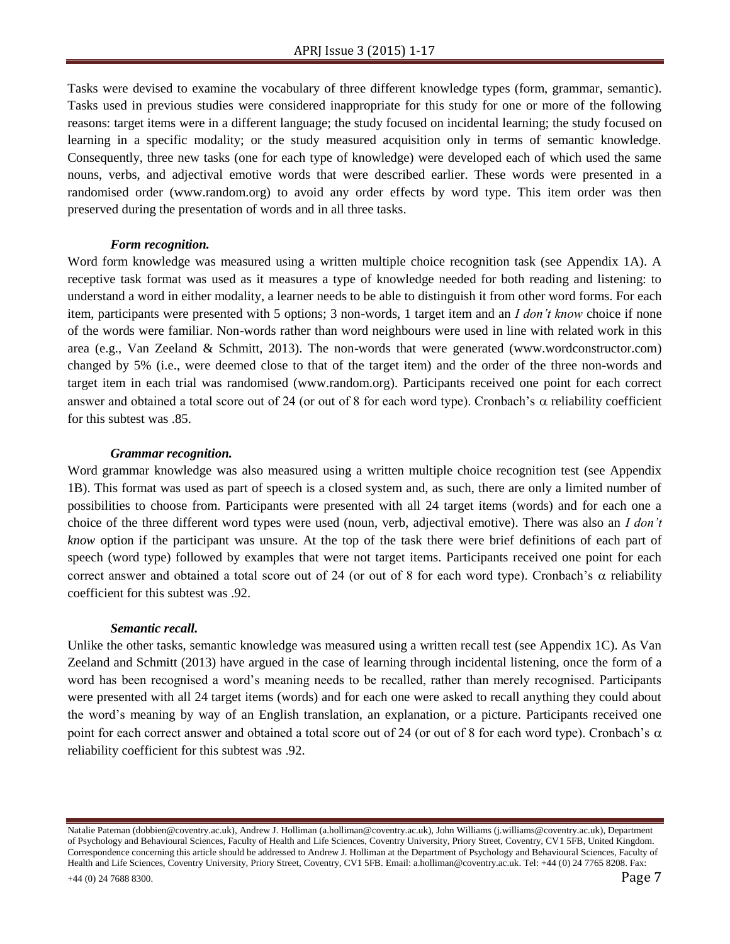Tasks were devised to examine the vocabulary of three different knowledge types (form, grammar, semantic). Tasks used in previous studies were considered inappropriate for this study for one or more of the following reasons: target items were in a different language; the study focused on incidental learning; the study focused on learning in a specific modality; or the study measured acquisition only in terms of semantic knowledge. Consequently, three new tasks (one for each type of knowledge) were developed each of which used the same nouns, verbs, and adjectival emotive words that were described earlier. These words were presented in a randomised order (www.random.org) to avoid any order effects by word type. This item order was then preserved during the presentation of words and in all three tasks.

#### *Form recognition.*

Word form knowledge was measured using a written multiple choice recognition task (see Appendix 1A). A receptive task format was used as it measures a type of knowledge needed for both reading and listening: to understand a word in either modality, a learner needs to be able to distinguish it from other word forms. For each item, participants were presented with 5 options; 3 non-words, 1 target item and an *I don't know* choice if none of the words were familiar. Non-words rather than word neighbours were used in line with related work in this area (e.g., Van Zeeland & Schmitt, 2013). The non-words that were generated (www.wordconstructor.com) changed by 5% (i.e., were deemed close to that of the target item) and the order of the three non-words and target item in each trial was randomised (www.random.org). Participants received one point for each correct answer and obtained a total score out of 24 (or out of 8 for each word type). Cronbach's  $\alpha$  reliability coefficient for this subtest was .85.

#### *Grammar recognition.*

Word grammar knowledge was also measured using a written multiple choice recognition test (see Appendix 1B). This format was used as part of speech is a closed system and, as such, there are only a limited number of possibilities to choose from. Participants were presented with all 24 target items (words) and for each one a choice of the three different word types were used (noun, verb, adjectival emotive). There was also an *I don't know* option if the participant was unsure. At the top of the task there were brief definitions of each part of speech (word type) followed by examples that were not target items. Participants received one point for each correct answer and obtained a total score out of 24 (or out of 8 for each word type). Cronbach's  $\alpha$  reliability coefficient for this subtest was .92.

#### *Semantic recall.*

Unlike the other tasks, semantic knowledge was measured using a written recall test (see Appendix 1C). As Van Zeeland and Schmitt (2013) have argued in the case of learning through incidental listening, once the form of a word has been recognised a word's meaning needs to be recalled, rather than merely recognised. Participants were presented with all 24 target items (words) and for each one were asked to recall anything they could about the word's meaning by way of an English translation, an explanation, or a picture. Participants received one point for each correct answer and obtained a total score out of 24 (or out of 8 for each word type). Cronbach's  $\alpha$ reliability coefficient for this subtest was .92.

Natalie Pateman (dobbien@coventry.ac.uk), Andrew J. Holliman (a.holliman@coventry.ac.uk), John Williams (j.williams@coventry.ac.uk), Department of Psychology and Behavioural Sciences, Faculty of Health and Life Sciences, Coventry University, Priory Street, Coventry, CV1 5FB, United Kingdom. Correspondence concerning this article should be addressed to Andrew J. Holliman at the Department of Psychology and Behavioural Sciences, Faculty of Health and Life Sciences, Coventry University, Priory Street, Coventry, CV1 5FB. Email: a.holliman@coventry.ac.uk. Tel: +44 (0) 24 7765 8208. Fax: +44 (0) 24 7688 8300. Page 7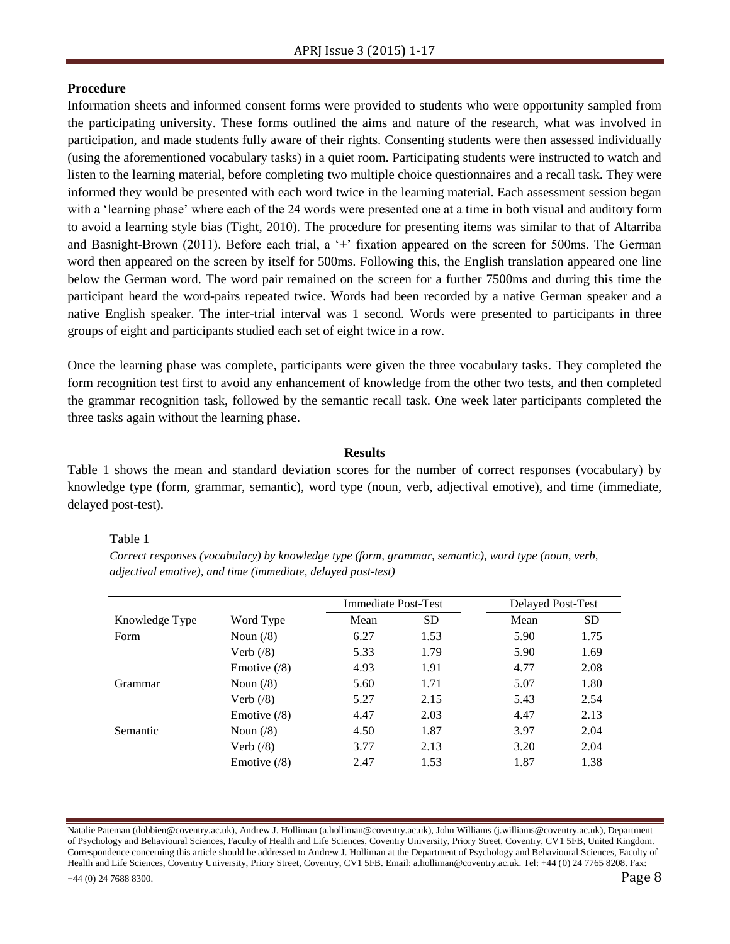# **Procedure**

Information sheets and informed consent forms were provided to students who were opportunity sampled from the participating university. These forms outlined the aims and nature of the research, what was involved in participation, and made students fully aware of their rights. Consenting students were then assessed individually (using the aforementioned vocabulary tasks) in a quiet room. Participating students were instructed to watch and listen to the learning material, before completing two multiple choice questionnaires and a recall task. They were informed they would be presented with each word twice in the learning material. Each assessment session began with a 'learning phase' where each of the 24 words were presented one at a time in both visual and auditory form to avoid a learning style bias (Tight, 2010). The procedure for presenting items was similar to that of Altarriba and Basnight-Brown (2011). Before each trial, a '+' fixation appeared on the screen for 500ms. The German word then appeared on the screen by itself for 500ms. Following this, the English translation appeared one line below the German word. The word pair remained on the screen for a further 7500ms and during this time the participant heard the word-pairs repeated twice. Words had been recorded by a native German speaker and a native English speaker. The inter-trial interval was 1 second. Words were presented to participants in three groups of eight and participants studied each set of eight twice in a row.

Once the learning phase was complete, participants were given the three vocabulary tasks. They completed the form recognition test first to avoid any enhancement of knowledge from the other two tests, and then completed the grammar recognition task, followed by the semantic recall task. One week later participants completed the three tasks again without the learning phase.

# **Results**

Table 1 shows the mean and standard deviation scores for the number of correct responses (vocabulary) by knowledge type (form, grammar, semantic), word type (noun, verb, adjectival emotive), and time (immediate, delayed post-test).

Table 1

*Correct responses (vocabulary) by knowledge type (form, grammar, semantic), word type (noun, verb, adjectival emotive), and time (immediate, delayed post-test)*

|                |                      | Immediate Post-Test |           | Delayed Post-Test |           |
|----------------|----------------------|---------------------|-----------|-------------------|-----------|
| Knowledge Type | Word Type            | Mean                | <b>SD</b> | Mean              | <b>SD</b> |
| Form           | Noun $(8)$           | 6.27                | 1.53      | 5.90              | 1.75      |
|                | Verb $(8)$           | 5.33                | 1.79      | 5.90              | 1.69      |
|                | Emotive $(8)$        | 4.93                | 1.91      | 4.77              | 2.08      |
| Grammar        | Noun $(\frac{8}{9})$ | 5.60                | 1.71      | 5.07              | 1.80      |
|                | Verb $(8)$           | 5.27                | 2.15      | 5.43              | 2.54      |
|                | Emotive $(8)$        | 4.47                | 2.03      | 4.47              | 2.13      |
| Semantic       | Noun $(8)$           | 4.50                | 1.87      | 3.97              | 2.04      |
|                | Verb $(8)$           | 3.77                | 2.13      | 3.20              | 2.04      |
|                | Emotive $(8)$        | 2.47                | 1.53      | 1.87              | 1.38      |

Natalie Pateman (dobbien@coventry.ac.uk), Andrew J. Holliman (a.holliman@coventry.ac.uk), John Williams (j.williams@coventry.ac.uk), Department of Psychology and Behavioural Sciences, Faculty of Health and Life Sciences, Coventry University, Priory Street, Coventry, CV1 5FB, United Kingdom. Correspondence concerning this article should be addressed to Andrew J. Holliman at the Department of Psychology and Behavioural Sciences, Faculty of Health and Life Sciences, Coventry University, Priory Street, Coventry, CV1 5FB. Email: a.holliman@coventry.ac.uk. Tel: +44 (0) 24 7765 8208. Fax: +44 (0) 24 7688 8300. Page 8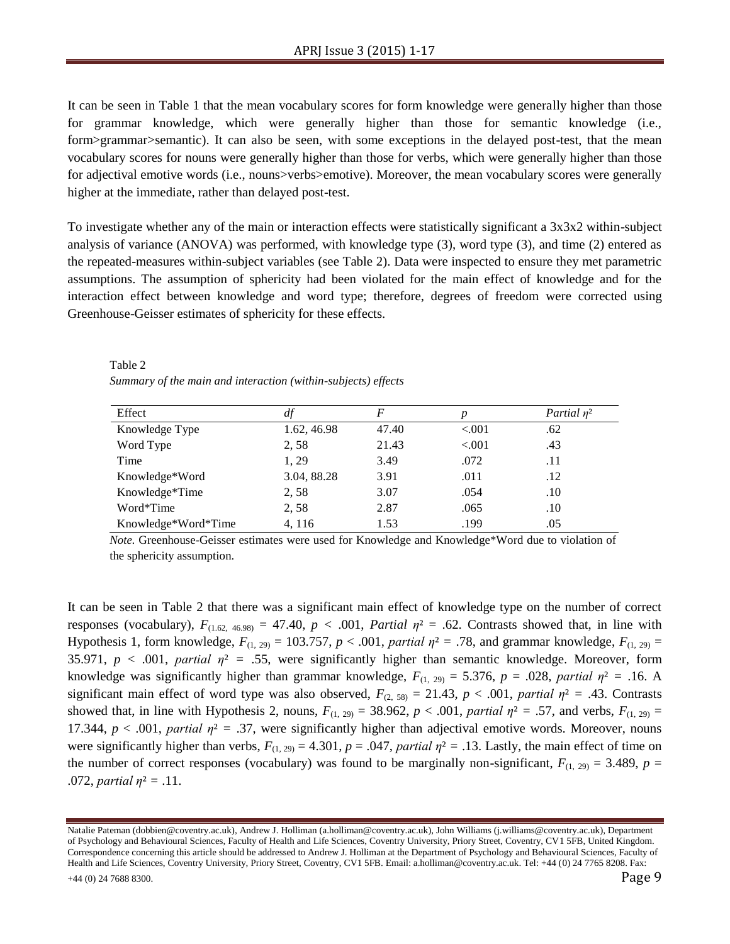It can be seen in Table 1 that the mean vocabulary scores for form knowledge were generally higher than those for grammar knowledge, which were generally higher than those for semantic knowledge (i.e., form>grammar>semantic). It can also be seen, with some exceptions in the delayed post-test, that the mean vocabulary scores for nouns were generally higher than those for verbs, which were generally higher than those for adjectival emotive words (i.e., nouns>verbs>emotive). Moreover, the mean vocabulary scores were generally higher at the immediate, rather than delayed post-test.

To investigate whether any of the main or interaction effects were statistically significant a 3x3x2 within-subject analysis of variance (ANOVA) was performed, with knowledge type (3), word type (3), and time (2) entered as the repeated-measures within-subject variables (see Table 2). Data were inspected to ensure they met parametric assumptions. The assumption of sphericity had been violated for the main effect of knowledge and for the interaction effect between knowledge and word type; therefore, degrees of freedom were corrected using Greenhouse-Geisser estimates of sphericity for these effects.

Table 2 *Summary of the main and interaction (within-subjects) effects* 

| Effect              | df          | F     |         | Partial $n^2$ |
|---------------------|-------------|-------|---------|---------------|
| Knowledge Type      | 1.62, 46.98 | 47.40 | < 0.001 | .62           |
| Word Type           | 2,58        | 21.43 | < 0.001 | .43           |
| Time                | 1, 29       | 3.49  | .072    | .11           |
| Knowledge*Word      | 3.04, 88.28 | 3.91  | .011    | .12           |
| Knowledge*Time      | 2,58        | 3.07  | .054    | .10           |
| Word*Time           | 2,58        | 2.87  | .065    | .10           |
| Knowledge*Word*Time | 4, 116      | 1.53  | .199    | .05           |

*Note.* Greenhouse-Geisser estimates were used for Knowledge and Knowledge\*Word due to violation of the sphericity assumption.

It can be seen in Table 2 that there was a significant main effect of knowledge type on the number of correct responses (vocabulary),  $F_{(1.62, 46.98)} = 47.40$ ,  $p < .001$ , *Partial*  $\eta^2 = .62$ . Contrasts showed that, in line with Hypothesis 1, form knowledge,  $F_{(1, 29)} = 103.757$ ,  $p < .001$ , *partial*  $\eta^2 = .78$ , and grammar knowledge,  $F_{(1, 29)} =$ 35.971,  $p < .001$ , *partial*  $\eta^2 = .55$ , were significantly higher than semantic knowledge. Moreover, form knowledge was significantly higher than grammar knowledge,  $F_{(1, 29)} = 5.376$ ,  $p = .028$ , *partial*  $\eta^2 = .16$ . A significant main effect of word type was also observed,  $F_{(2, 58)} = 21.43$ ,  $p < .001$ , *partial*  $\eta^2 = .43$ . Contrasts showed that, in line with Hypothesis 2, nouns,  $F_{(1, 29)} = 38.962$ ,  $p < .001$ , *partial*  $\eta^2 = .57$ , and verbs,  $F_{(1, 29)} =$ 17.344,  $p < .001$ , *partial*  $\eta^2 = .37$ , were significantly higher than adjectival emotive words. Moreover, nouns were significantly higher than verbs,  $F_{(1, 29)} = 4.301$ ,  $p = .047$ , *partial*  $\eta^2 = .13$ . Lastly, the main effect of time on the number of correct responses (vocabulary) was found to be marginally non-significant,  $F_{(1, 29)} = 3.489$ ,  $p =$ .072, *partial*  $\eta^2 = .11$ .

Natalie Pateman (dobbien@coventry.ac.uk), Andrew J. Holliman (a.holliman@coventry.ac.uk), John Williams (j.williams@coventry.ac.uk), Department of Psychology and Behavioural Sciences, Faculty of Health and Life Sciences, Coventry University, Priory Street, Coventry, CV1 5FB, United Kingdom. Correspondence concerning this article should be addressed to Andrew J. Holliman at the Department of Psychology and Behavioural Sciences, Faculty of Health and Life Sciences, Coventry University, Priory Street, Coventry, CV1 5FB. Email: a.holliman@coventry.ac.uk. Tel: +44 (0) 24 7765 8208. Fax: +44 (0) 24 7688 8300. Page 9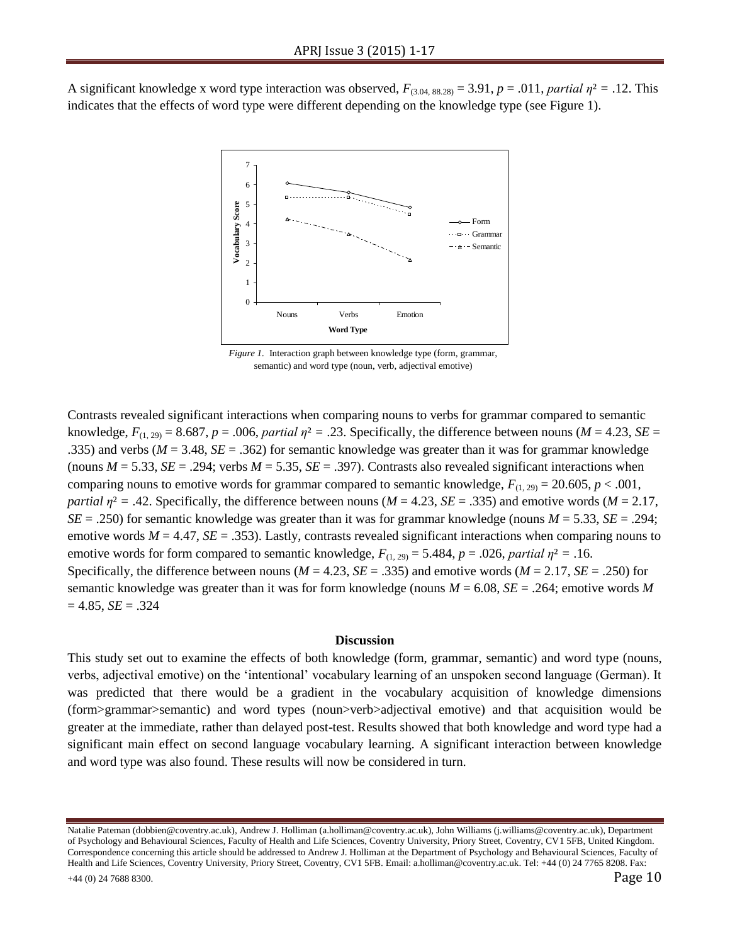A significant knowledge x word type interaction was observed,  $F_{(3.04, 88.28)} = 3.91$ ,  $p = .011$ , *partial*  $\eta^2 = .12$ . This indicates that the effects of word type were different depending on the knowledge type (see Figure 1).



*Figure 1.* Interaction graph between knowledge type (form, grammar, semantic) and word type (noun, verb, adjectival emotive)

Contrasts revealed significant interactions when comparing nouns to verbs for grammar compared to semantic knowledge,  $F_{(1, 29)} = 8.687$ ,  $p = .006$ , *partial*  $\eta^2 = .23$ . Specifically, the difference between nouns (*M* = 4.23, *SE* = .335) and verbs (*M* = 3.48, *SE* = .362) for semantic knowledge was greater than it was for grammar knowledge (nouns  $M = 5.33$ ,  $SE = .294$ ; verbs  $M = 5.35$ ,  $SE = .397$ ). Contrasts also revealed significant interactions when comparing nouns to emotive words for grammar compared to semantic knowledge,  $F_{(1, 29)} = 20.605$ ,  $p < .001$ , *partial*  $\eta^2$  = .42. Specifically, the difference between nouns ( $M = 4.23$ ,  $SE = .335$ ) and emotive words ( $M = 2.17$ , *SE* = .250) for semantic knowledge was greater than it was for grammar knowledge (nouns *M* = 5.33, *SE* = .294; emotive words  $M = 4.47$ ,  $SE = .353$ ). Lastly, contrasts revealed significant interactions when comparing nouns to emotive words for form compared to semantic knowledge,  $F_{(1, 29)} = 5.484$ ,  $p = .026$ , *partial*  $\eta^2 = .16$ . Specifically, the difference between nouns ( $M = 4.23$ ,  $SE = .335$ ) and emotive words ( $M = 2.17$ ,  $SE = .250$ ) for semantic knowledge was greater than it was for form knowledge (nouns *M* = 6.08, *SE* = .264; emotive words *M*  $= 4.85, SE = .324$ 

#### **Discussion**

This study set out to examine the effects of both knowledge (form, grammar, semantic) and word type (nouns, verbs, adjectival emotive) on the 'intentional' vocabulary learning of an unspoken second language (German). It was predicted that there would be a gradient in the vocabulary acquisition of knowledge dimensions (form>grammar>semantic) and word types (noun>verb>adjectival emotive) and that acquisition would be greater at the immediate, rather than delayed post-test. Results showed that both knowledge and word type had a significant main effect on second language vocabulary learning. A significant interaction between knowledge and word type was also found. These results will now be considered in turn.

Natalie Pateman (dobbien@coventry.ac.uk), Andrew J. Holliman (a.holliman@coventry.ac.uk), John Williams (j.williams@coventry.ac.uk), Department of Psychology and Behavioural Sciences, Faculty of Health and Life Sciences, Coventry University, Priory Street, Coventry, CV1 5FB, United Kingdom. Correspondence concerning this article should be addressed to Andrew J. Holliman at the Department of Psychology and Behavioural Sciences, Faculty of Health and Life Sciences, Coventry University, Priory Street, Coventry, CV1 5FB. Email: a.holliman@coventry.ac.uk. Tel: +44 (0) 24 7765 8208. Fax:  $+44$  (0) 24 7688 8300. Page 10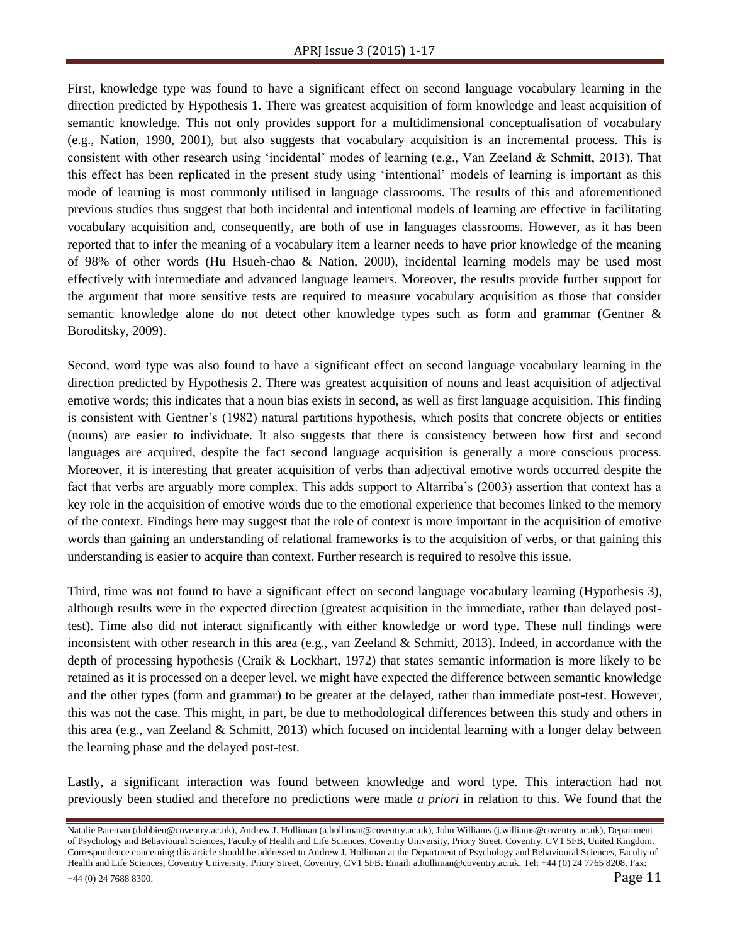First, knowledge type was found to have a significant effect on second language vocabulary learning in the direction predicted by Hypothesis 1. There was greatest acquisition of form knowledge and least acquisition of semantic knowledge. This not only provides support for a multidimensional conceptualisation of vocabulary (e.g., Nation, 1990, 2001), but also suggests that vocabulary acquisition is an incremental process. This is consistent with other research using 'incidental' modes of learning (e.g., Van Zeeland & Schmitt, 2013). That this effect has been replicated in the present study using 'intentional' models of learning is important as this mode of learning is most commonly utilised in language classrooms. The results of this and aforementioned previous studies thus suggest that both incidental and intentional models of learning are effective in facilitating vocabulary acquisition and, consequently, are both of use in languages classrooms. However, as it has been reported that to infer the meaning of a vocabulary item a learner needs to have prior knowledge of the meaning of 98% of other words (Hu Hsueh-chao & Nation, 2000), incidental learning models may be used most effectively with intermediate and advanced language learners. Moreover, the results provide further support for the argument that more sensitive tests are required to measure vocabulary acquisition as those that consider semantic knowledge alone do not detect other knowledge types such as form and grammar (Gentner & Boroditsky, 2009).

Second, word type was also found to have a significant effect on second language vocabulary learning in the direction predicted by Hypothesis 2. There was greatest acquisition of nouns and least acquisition of adjectival emotive words; this indicates that a noun bias exists in second, as well as first language acquisition. This finding is consistent with Gentner's (1982) natural partitions hypothesis, which posits that concrete objects or entities (nouns) are easier to individuate. It also suggests that there is consistency between how first and second languages are acquired, despite the fact second language acquisition is generally a more conscious process. Moreover, it is interesting that greater acquisition of verbs than adjectival emotive words occurred despite the fact that verbs are arguably more complex. This adds support to Altarriba's (2003) assertion that context has a key role in the acquisition of emotive words due to the emotional experience that becomes linked to the memory of the context. Findings here may suggest that the role of context is more important in the acquisition of emotive words than gaining an understanding of relational frameworks is to the acquisition of verbs, or that gaining this understanding is easier to acquire than context. Further research is required to resolve this issue.

Third, time was not found to have a significant effect on second language vocabulary learning (Hypothesis 3), although results were in the expected direction (greatest acquisition in the immediate, rather than delayed posttest). Time also did not interact significantly with either knowledge or word type. These null findings were inconsistent with other research in this area (e.g., van Zeeland & Schmitt, 2013). Indeed, in accordance with the depth of processing hypothesis (Craik & Lockhart, 1972) that states semantic information is more likely to be retained as it is processed on a deeper level, we might have expected the difference between semantic knowledge and the other types (form and grammar) to be greater at the delayed, rather than immediate post-test. However, this was not the case. This might, in part, be due to methodological differences between this study and others in this area (e.g., van Zeeland & Schmitt, 2013) which focused on incidental learning with a longer delay between the learning phase and the delayed post-test.

Lastly, a significant interaction was found between knowledge and word type. This interaction had not previously been studied and therefore no predictions were made *a priori* in relation to this. We found that the

Natalie Pateman (dobbien@coventry.ac.uk), Andrew J. Holliman (a.holliman@coventry.ac.uk), John Williams (j.williams@coventry.ac.uk), Department of Psychology and Behavioural Sciences, Faculty of Health and Life Sciences, Coventry University, Priory Street, Coventry, CV1 5FB, United Kingdom. Correspondence concerning this article should be addressed to Andrew J. Holliman at the Department of Psychology and Behavioural Sciences, Faculty of Health and Life Sciences, Coventry University, Priory Street, Coventry, CV1 5FB. Email: a.holliman@coventry.ac.uk. Tel: +44 (0) 24 7765 8208. Fax:  $+44$  (0) 24 7688 8300. Page 11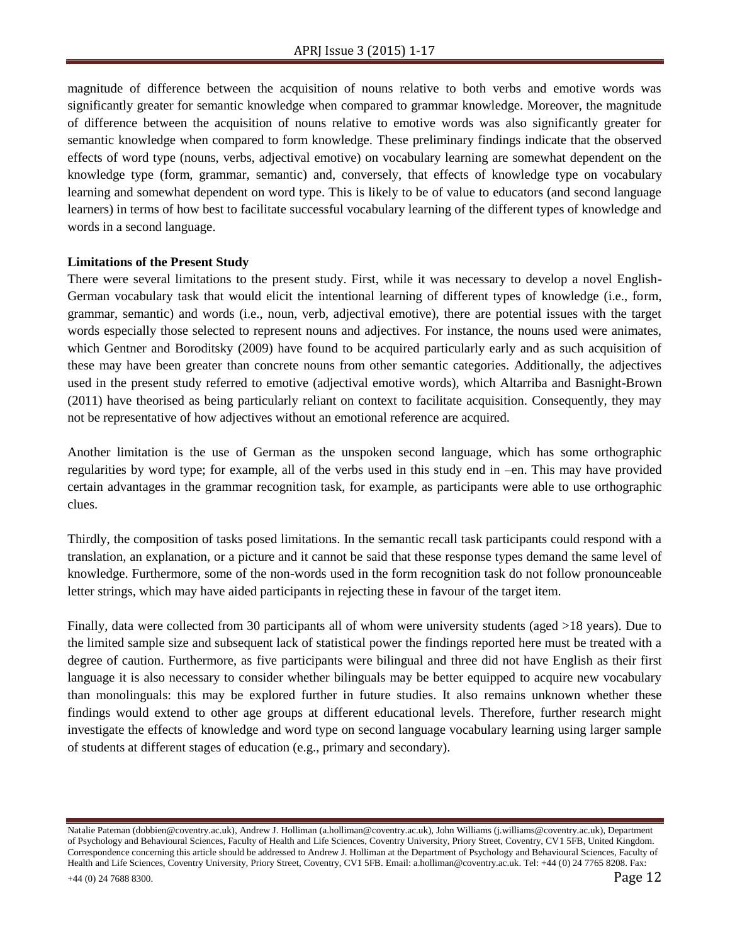magnitude of difference between the acquisition of nouns relative to both verbs and emotive words was significantly greater for semantic knowledge when compared to grammar knowledge. Moreover, the magnitude of difference between the acquisition of nouns relative to emotive words was also significantly greater for semantic knowledge when compared to form knowledge. These preliminary findings indicate that the observed effects of word type (nouns, verbs, adjectival emotive) on vocabulary learning are somewhat dependent on the knowledge type (form, grammar, semantic) and, conversely, that effects of knowledge type on vocabulary learning and somewhat dependent on word type. This is likely to be of value to educators (and second language learners) in terms of how best to facilitate successful vocabulary learning of the different types of knowledge and words in a second language.

# **Limitations of the Present Study**

There were several limitations to the present study. First, while it was necessary to develop a novel English-German vocabulary task that would elicit the intentional learning of different types of knowledge (i.e., form, grammar, semantic) and words (i.e., noun, verb, adjectival emotive), there are potential issues with the target words especially those selected to represent nouns and adjectives. For instance, the nouns used were animates, which Gentner and Boroditsky (2009) have found to be acquired particularly early and as such acquisition of these may have been greater than concrete nouns from other semantic categories. Additionally, the adjectives used in the present study referred to emotive (adjectival emotive words), which Altarriba and Basnight-Brown (2011) have theorised as being particularly reliant on context to facilitate acquisition. Consequently, they may not be representative of how adjectives without an emotional reference are acquired.

Another limitation is the use of German as the unspoken second language, which has some orthographic regularities by word type; for example, all of the verbs used in this study end in –en. This may have provided certain advantages in the grammar recognition task, for example, as participants were able to use orthographic clues.

Thirdly, the composition of tasks posed limitations. In the semantic recall task participants could respond with a translation, an explanation, or a picture and it cannot be said that these response types demand the same level of knowledge. Furthermore, some of the non-words used in the form recognition task do not follow pronounceable letter strings, which may have aided participants in rejecting these in favour of the target item.

Finally, data were collected from 30 participants all of whom were university students (aged >18 years). Due to the limited sample size and subsequent lack of statistical power the findings reported here must be treated with a degree of caution. Furthermore, as five participants were bilingual and three did not have English as their first language it is also necessary to consider whether bilinguals may be better equipped to acquire new vocabulary than monolinguals: this may be explored further in future studies. It also remains unknown whether these findings would extend to other age groups at different educational levels. Therefore, further research might investigate the effects of knowledge and word type on second language vocabulary learning using larger sample of students at different stages of education (e.g., primary and secondary).

Natalie Pateman (dobbien@coventry.ac.uk), Andrew J. Holliman (a.holliman@coventry.ac.uk), John Williams (j.williams@coventry.ac.uk), Department of Psychology and Behavioural Sciences, Faculty of Health and Life Sciences, Coventry University, Priory Street, Coventry, CV1 5FB, United Kingdom. Correspondence concerning this article should be addressed to Andrew J. Holliman at the Department of Psychology and Behavioural Sciences, Faculty of Health and Life Sciences, Coventry University, Priory Street, Coventry, CV1 5FB. Email: a.holliman@coventry.ac.uk. Tel: +44 (0) 24 7765 8208. Fax:  $+44$  (0) 24 7688 8300. Page 12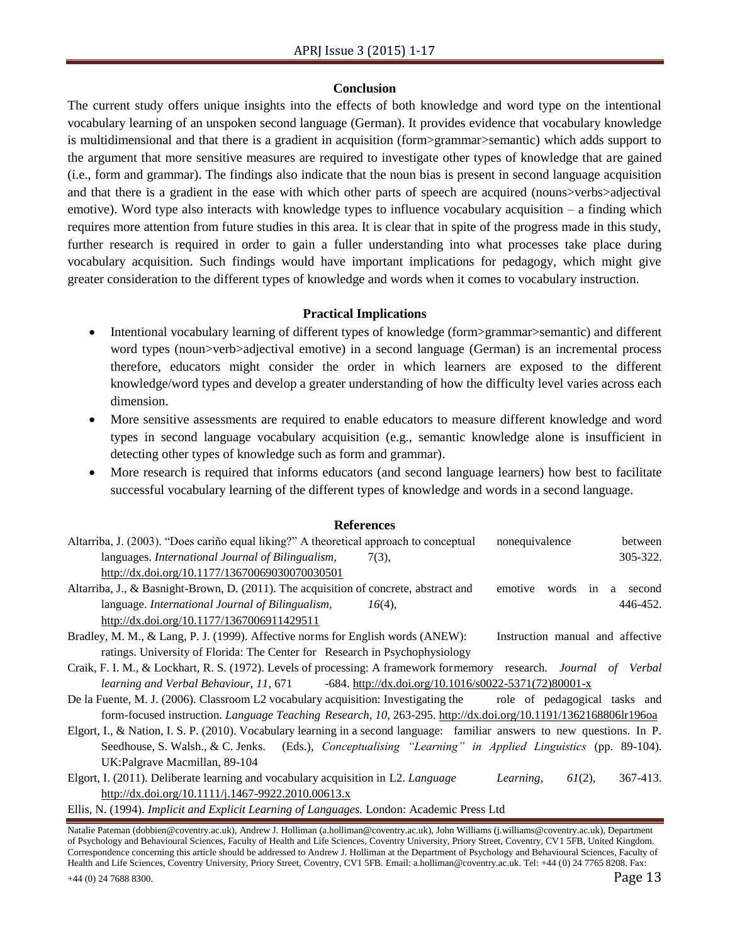#### **Conclusion**

The current study offers unique insights into the effects of both knowledge and word type on the intentional vocabulary learning of an unspoken second language (German). It provides evidence that vocabulary knowledge is multidimensional and that there is a gradient in acquisition (form>grammar>semantic) which adds support to the argument that more sensitive measures are required to investigate other types of knowledge that are gained (i.e., form and grammar). The findings also indicate that the noun bias is present in second language acquisition and that there is a gradient in the ease with which other parts of speech are acquired (nouns>verbs>adjectival emotive). Word type also interacts with knowledge types to influence vocabulary acquisition – a finding which requires more attention from future studies in this area. It is clear that in spite of the progress made in this study, further research is required in order to gain a fuller understanding into what processes take place during vocabulary acquisition. Such findings would have important implications for pedagogy, which might give greater consideration to the different types of knowledge and words when it comes to vocabulary instruction.

# **Practical Implications**

- Intentional vocabulary learning of different types of knowledge (form>grammar>semantic) and different word types (noun>verb>adjectival emotive) in a second language (German) is an incremental process therefore, educators might consider the order in which learners are exposed to the different knowledge/word types and develop a greater understanding of how the difficulty level varies across each dimension.
- More sensitive assessments are required to enable educators to measure different knowledge and word types in second language vocabulary acquisition (e.g., semantic knowledge alone is insufficient in detecting other types of knowledge such as form and grammar).
- More research is required that informs educators (and second language learners) how best to facilitate successful vocabulary learning of the different types of knowledge and words in a second language.

#### **References**

| Altarriba, J. (2003). "Does cariño equal liking?" A theoretical approach to conceptual                         | nonequivalence<br>between             |
|----------------------------------------------------------------------------------------------------------------|---------------------------------------|
| languages. International Journal of Bilingualism,<br>$7(3)$ ,                                                  | $305 - 322$ .                         |
| http://dx.doi.org/10.1177/13670069030070030501                                                                 |                                       |
| Altarriba, J., & Basnight-Brown, D. (2011). The acquisition of concrete, abstract and                          | words<br>in<br>emotive<br>second<br>a |
| language. International Journal of Bilingualism,<br>$16(4)$ ,                                                  | 446-452.                              |
| http://dx.doi.org/10.1177/1367006911429511                                                                     |                                       |
| Bradley, M. M., & Lang, P. J. (1999). Affective norms for English words (ANEW):                                | Instruction manual and affective      |
| ratings. University of Florida: The Center for Research in Psychophysiology                                    |                                       |
| Craik, F. I. M., & Lockhart, R. S. (1972). Levels of processing: A framework formemory research. Journal of    | Verbal                                |
| learning and Verbal Behaviour, 11, 671<br>-684. http://dx.doi.org/10.1016/s0022-5371(72)80001-x                |                                       |
| De la Fuente, M. J. (2006). Classroom L2 vocabulary acquisition: Investigating the                             | role of pedagogical tasks and         |
| form-focused instruction. Language Teaching Research, 10, 263-295. http://dx.doi.org/10.1191/1362168806lr1960a |                                       |

Elgort, I., & Nation, I. S. P. (2010). Vocabulary learning in a second language: familiar answers to new questions. In P. Seedhouse, S. Walsh., & C. Jenks. (Eds.), *Conceptualising "Learning" in Applied Linguistics* (pp. 89-104). UK:Palgrave Macmillan, 89-104

Elgort, I. (2011). Deliberate learning and vocabulary acquisition in L2. *Language Learning, 61*(2), 367-413. <http://dx.doi.org/10.1111/j.1467-9922.2010.00613.x>

Ellis, N. (1994). *Implicit and Explicit Learning of Languages.* London: Academic Press Ltd

Natalie Pateman (dobbien@coventry.ac.uk), Andrew J. Holliman (a.holliman@coventry.ac.uk), John Williams (j.williams@coventry.ac.uk), Department of Psychology and Behavioural Sciences, Faculty of Health and Life Sciences, Coventry University, Priory Street, Coventry, CV1 5FB, United Kingdom. Correspondence concerning this article should be addressed to Andrew J. Holliman at the Department of Psychology and Behavioural Sciences, Faculty of Health and Life Sciences, Coventry University, Priory Street, Coventry, CV1 5FB. Email: a.holliman@coventry.ac.uk. Tel: +44 (0) 24 7765 8208. Fax:  $+44$  (0) 24 7688 8300. Page 13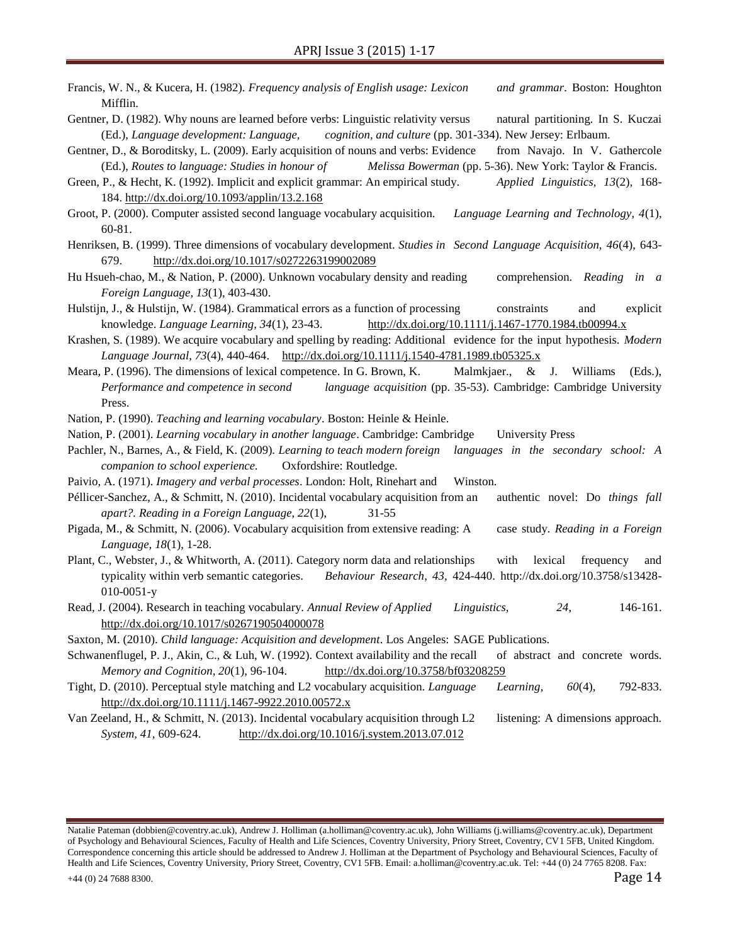- Francis, W. N., & Kucera, H. (1982). *Frequency analysis of English usage: Lexicon and grammar*. Boston: Houghton Mifflin.
- Gentner, D. (1982). Why nouns are learned before verbs: Linguistic relativity versus natural partitioning. In S. Kuczai (Ed.), *Language development: Language, cognition, and culture* (pp. 301-334). New Jersey: Erlbaum.
- Gentner, D., & Boroditsky, L. (2009). Early acquisition of nouns and verbs: Evidence from Navajo. In V. Gathercole (Ed.), *Routes to language: Studies in honour of Melissa Bowerman* (pp. 5-36). New York: Taylor & Francis.
- Green, P., & Hecht, K. (1992). Implicit and explicit grammar: An empirical study. *Applied Linguistics, 13*(2), 168- 184.<http://dx.doi.org/10.1093/applin/13.2.168>
- Groot, P. (2000). Computer assisted second language vocabulary acquisition. *Language Learning and Technology, 4*(1), 60-81.
- Henriksen, B. (1999). Three dimensions of vocabulary development. *Studies in Second Language Acquisition, 46*(4), 643- 679. <http://dx.doi.org/10.1017/s0272263199002089>
- Hu Hsueh-chao, M., & Nation, P. (2000). Unknown vocabulary density and reading comprehension. *Reading in a Foreign Language, 13*(1), 403-430.
- Hulstijn, J., & Hulstijn, W. (1984). Grammatical errors as a function of processing constraints and explicit knowledge. *Language Learning, 34*(1), 23-43. <http://dx.doi.org/10.1111/j.1467-1770.1984.tb00994.x>
- Krashen, S. (1989). We acquire vocabulary and spelling by reading: Additional evidence for the input hypothesis. *Modern Language Journal, 73*(4), 440-464. <http://dx.doi.org/10.1111/j.1540-4781.1989.tb05325.x>
- Meara, P. (1996). The dimensions of lexical competence. In G. Brown, K. Malmkjaer., & J. Williams (Eds.), *Performance and competence in second language acquisition* (pp. 35-53). Cambridge: Cambridge University Press.
- Nation, P. (1990). *Teaching and learning vocabulary*. Boston: Heinle & Heinle.

Nation, P. (2001). *Learning vocabulary in another language*. Cambridge: Cambridge University Press

- Pachler, N., Barnes, A., & Field, K. (2009). *Learning to teach modern foreign languages in the secondary school: A companion to school experience.* Oxfordshire: Routledge.
- Paivio, A. (1971). *Imagery and verbal processes*. London: Holt, Rinehart and Winston.
- Péllicer-Sanchez, A., & Schmitt, N. (2010). Incidental vocabulary acquisition from an authentic novel: Do *things fall apart?. Reading in a Foreign Language, 22*(1), 31-55
- Pigada, M., & Schmitt, N. (2006). Vocabulary acquisition from extensive reading: A case study. *Reading in a Foreign Language, 18*(1), 1-28.
- Plant, C., Webster, J., & Whitworth, A. (2011). Category norm data and relationships with lexical frequency and typicality within verb semantic categories. *Behaviour Research, 43,* 424-440. http://dx.doi.org/10.3758/s13428- 010-0051-y
- Read, J. (2004). Research in teaching vocabulary. *Annual Review of Applied Linguistics, 24*, 146-161. <http://dx.doi.org/10.1017/s0267190504000078>

Saxton, M. (2010). *Child language: Acquisition and development*. Los Angeles: SAGE Publications.

- Schwanenflugel, P. J., Akin, C., & Luh, W. (1992). Context availability and the recall of abstract and concrete words. *Memory and Cognition, 20*(1), 96-104. <http://dx.doi.org/10.3758/bf03208259>
- Tight, D. (2010). Perceptual style matching and L2 vocabulary acquisition. *Language Learning, 60*(4), 792-833. <http://dx.doi.org/10.1111/j.1467-9922.2010.00572.x>
- Van Zeeland, H., & Schmitt, N. (2013). Incidental vocabulary acquisition through L2 listening: A dimensions approach. *System, 41,* 609-624. <http://dx.doi.org/10.1016/j.system.2013.07.012>

Natalie Pateman (dobbien@coventry.ac.uk), Andrew J. Holliman (a.holliman@coventry.ac.uk), John Williams (j.williams@coventry.ac.uk), Department of Psychology and Behavioural Sciences, Faculty of Health and Life Sciences, Coventry University, Priory Street, Coventry, CV1 5FB, United Kingdom. Correspondence concerning this article should be addressed to Andrew J. Holliman at the Department of Psychology and Behavioural Sciences, Faculty of Health and Life Sciences, Coventry University, Priory Street, Coventry, CV1 5FB. Email: a.holliman@coventry.ac.uk. Tel: +44 (0) 24 7765 8208. Fax:  $+44$  (0) 24 7688 8300. Page 14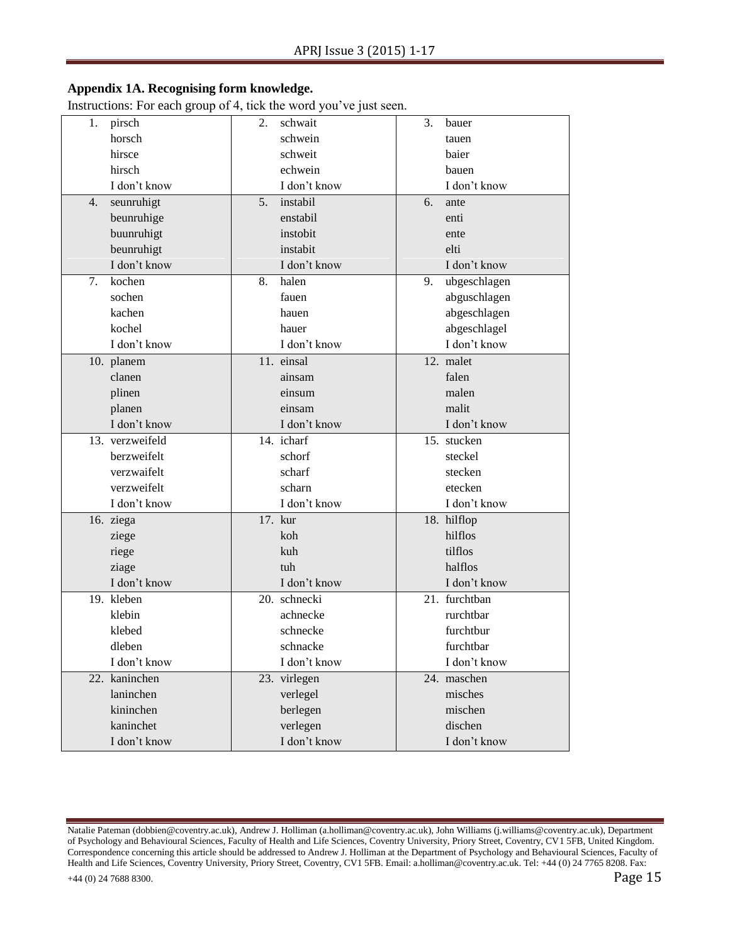# **Appendix 1A. Recognising form knowledge.**

Instructions: For each group of 4, tick the word you've just seen.

| pirsch<br>1.     | 2.<br>schwait  | 3.<br>bauer        |
|------------------|----------------|--------------------|
| horsch           | schwein        | tauen              |
| hirsce           | schweit        | baier              |
| hirsch           | echwein        | bauen              |
| I don't know     | I don't know   | I don't know       |
| seunruhigt<br>4. | instabil<br>5. | 6.<br>ante         |
| beunruhige       | enstabil       | enti               |
| buunruhigt       | instobit       | ente               |
| beunruhigt       | instabit       | elti               |
| I don't know     | I don't know   | I don't know       |
| kochen<br>7.     | halen<br>8.    | ubgeschlagen<br>9. |
| sochen           | fauen          | abguschlagen       |
| kachen           | hauen          | abgeschlagen       |
| kochel           | hauer          | abgeschlagel       |
| I don't know     | I don't know   | I don't know       |
| 10. planem       | 11. einsal     | 12. malet          |
| clanen           | ainsam         | falen              |
| plinen           | einsum         | malen              |
| planen           | einsam         | malit              |
| I don't know     | I don't know   | I don't know       |
| 13. verzweifeld  | 14. icharf     | 15. stucken        |
| berzweifelt      | schorf         | steckel            |
| verzwaifelt      | scharf         | stecken            |
| verzweifelt      | scharn         | etecken            |
| I don't know     | I don't know   | I don't know       |
| 16. ziega        | 17. kur        | 18. hilflop        |
| ziege            | koh            | hilflos            |
| riege            | kuh            | tilflos            |
| ziage            | tuh            | halflos            |
| I don't know     | I don't know   | I don't know       |
| 19. kleben       | 20. schnecki   | 21. furchtban      |
| klebin           | achnecke       | rurchtbar          |
| klebed           | schnecke       | furchtbur          |
| dleben           | schnacke       | furchtbar          |
| I don't know     | I don't know   | I don't know       |
| 22. kaninchen    | 23. virlegen   | 24. maschen        |
| laninchen        | verlegel       | misches            |
| kininchen        | berlegen       | mischen            |
| kaninchet        | verlegen       | dischen            |
| I don't know     | I don't know   | I don't know       |

Natalie Pateman (dobbien@coventry.ac.uk), Andrew J. Holliman (a.holliman@coventry.ac.uk), John Williams (j.williams@coventry.ac.uk), Department of Psychology and Behavioural Sciences, Faculty of Health and Life Sciences, Coventry University, Priory Street, Coventry, CV1 5FB, United Kingdom. Correspondence concerning this article should be addressed to Andrew J. Holliman at the Department of Psychology and Behavioural Sciences, Faculty of Health and Life Sciences, Coventry University, Priory Street, Coventry, CV1 5FB. Email: a.holliman@coventry.ac.uk. Tel: +44 (0) 24 7765 8208. Fax:  $+44$  (0) 24 7688 8300. Page 15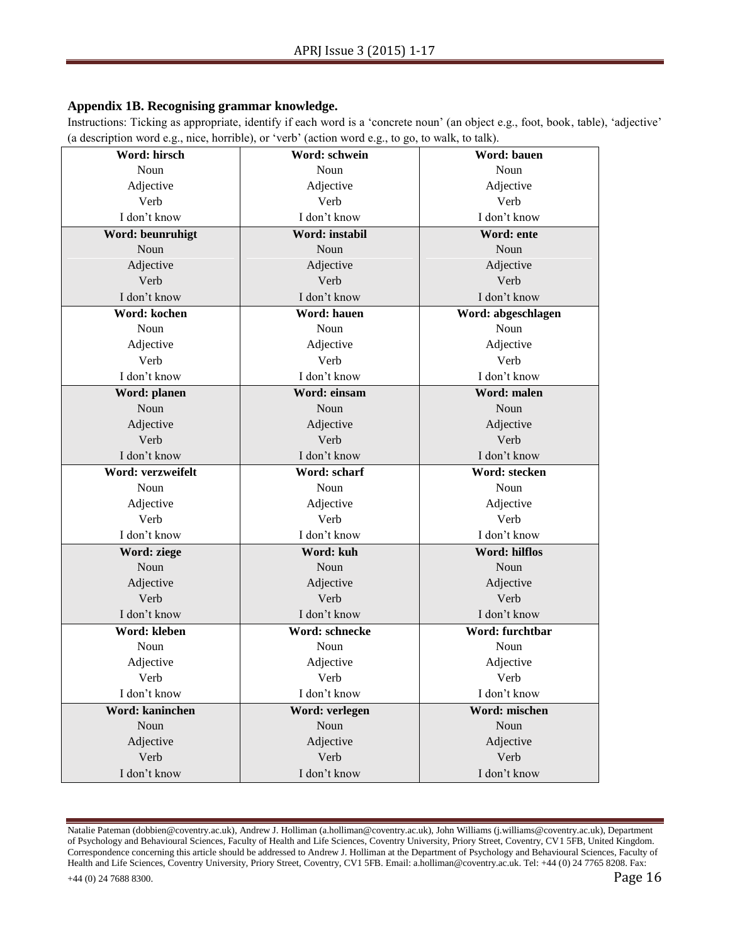# **Appendix 1B. Recognising grammar knowledge.**

Instructions: Ticking as appropriate, identify if each word is a 'concrete noun' (an object e.g., foot, book, table), 'adjective' (a description word e.g., nice, horrible), or 'verb' (action word e.g., to go, to walk, to talk).

| Word: hirsch      | Word: schwein        | Word: bauen        |
|-------------------|----------------------|--------------------|
| Noun              | Noun                 | Noun               |
| Adjective         | Adjective            | Adjective          |
| Verb              | Verb                 | Verb               |
| I don't know      | I don't know         | I don't know       |
| Word: beunruhigt  | Word: instabil       | Word: ente         |
| Noun              | Noun                 | Noun               |
| Adjective         | Adjective            | Adjective          |
| Verb              | Verb                 | Verb               |
| I don't know      | I don't know         | I don't know       |
| Word: kochen      | Word: hauen          | Word: abgeschlagen |
| Noun              | Noun                 | Noun               |
| Adjective         | Adjective            | Adjective          |
| Verb              | Verb                 | Verb               |
| I don't know      | I don't know         | I don't know       |
| Word: planen      | Word: einsam         | Word: malen        |
| Noun              | Noun                 | Noun               |
| Adjective         | Adjective            | Adjective          |
| Verb              | Verb                 | Verb               |
| I don't know      | I don't know         | I don't know       |
| Word: verzweifelt | Word: scharf         | Word: stecken      |
| Noun              | Noun                 | Noun               |
| Adjective         | Adjective            | Adjective          |
|                   |                      |                    |
| Verb              | Verb                 | Verb               |
| I don't know      | I don't know         | I don't know       |
| Word: ziege       | Word: kuh            | Word: hilflos      |
| Noun              | Noun                 | Noun               |
| Adjective         | Adjective            | Adjective          |
| Verb              | Verb                 | Verb               |
| I don't know      | I don't know         | I don't know       |
| Word: kleben      | Word: schnecke       | Word: furchtbar    |
| Noun              | Noun                 | Noun               |
| Adjective         | Adjective            | Adjective          |
| Verb              | Verb                 | Verb               |
| I don't know      | I don't know         | I don't know       |
| Word: kaninchen   | Word: verlegen       | Word: mischen      |
| Noun              | Noun                 | Noun               |
| Adjective         | Adjective            | Adjective          |
| Verb              | Verb<br>I don't know | Verb               |

Natalie Pateman (dobbien@coventry.ac.uk), Andrew J. Holliman (a.holliman@coventry.ac.uk), John Williams (j.williams@coventry.ac.uk), Department of Psychology and Behavioural Sciences, Faculty of Health and Life Sciences, Coventry University, Priory Street, Coventry, CV1 5FB, United Kingdom. Correspondence concerning this article should be addressed to Andrew J. Holliman at the Department of Psychology and Behavioural Sciences, Faculty of Health and Life Sciences, Coventry University, Priory Street, Coventry, CV1 5FB. Email: a.holliman@coventry.ac.uk. Tel: +44 (0) 24 7765 8208. Fax:  $+44$  (0) 24 7688 8300. Page 16